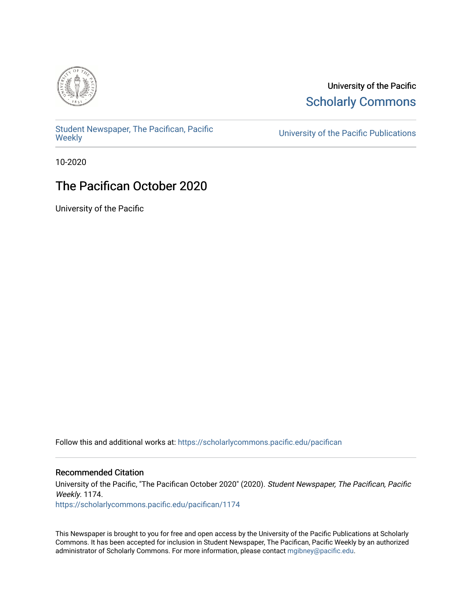

University of the Pacific **Scholarly Commons** 

[Student Newspaper, The Pacifican, Pacific](https://scholarlycommons.pacific.edu/pacifican) 

University of the Pacific Publications

10-2020

### The Pacifican October 2020

University of the Pacific

Follow this and additional works at: [https://scholarlycommons.pacific.edu/pacifican](https://scholarlycommons.pacific.edu/pacifican?utm_source=scholarlycommons.pacific.edu%2Fpacifican%2F1174&utm_medium=PDF&utm_campaign=PDFCoverPages) 

#### Recommended Citation

University of the Pacific, "The Pacifican October 2020" (2020). Student Newspaper, The Pacifican, Pacific Weekly. 1174. [https://scholarlycommons.pacific.edu/pacifican/1174](https://scholarlycommons.pacific.edu/pacifican/1174?utm_source=scholarlycommons.pacific.edu%2Fpacifican%2F1174&utm_medium=PDF&utm_campaign=PDFCoverPages) 

This Newspaper is brought to you for free and open access by the University of the Pacific Publications at Scholarly Commons. It has been accepted for inclusion in Student Newspaper, The Pacifican, Pacific Weekly by an authorized administrator of Scholarly Commons. For more information, please contact [mgibney@pacific.edu.](mailto:mgibney@pacific.edu)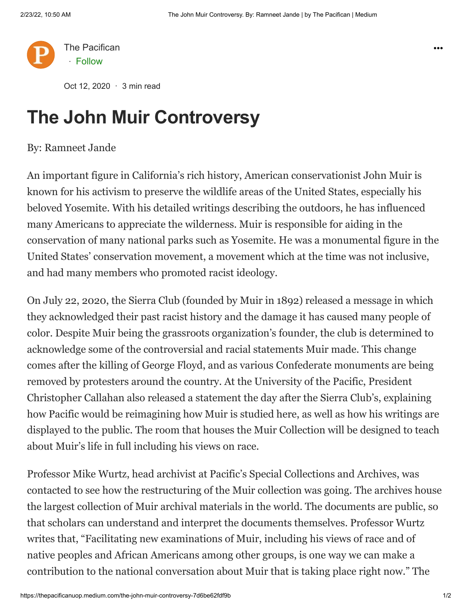

Oct 12, 2020 · 3 min read

## **The John Muir Controversy**

### By: Ramneet Jande

An important figure in California's rich history, American conservationist John Muir is known for his activism to preserve the wildlife areas of the United States, especially his beloved Yosemite. With his detailed writings describing the outdoors, he has influenced many Americans to appreciate the wilderness. Muir is responsible for aiding in the conservation of many national parks such as Yosemite. He was a monumental figure in the United States' conservation movement, a movement which at the time was not inclusive, and had many members who promoted racist ideology.

On July 22, 2020, the Sierra Club (founded by Muir in 1892) released a message in which they acknowledged their past racist history and the damage it has caused many people of color. Despite Muir being the grassroots organization's founder, the club is determined to acknowledge some of the controversial and racial statements Muir made. This change comes after the killing of George Floyd, and as various Confederate monuments are being removed by protesters around the country. At the University of the Pacific, President Christopher Callahan also released a statement the day after the Sierra Club's, explaining how Pacific would be reimagining how Muir is studied here, as well as how his writings are displayed to the public. The room that houses the Muir Collection will be designed to teach about Muir's life in full including his views on race.

Professor Mike Wurtz, head archivist at Pacific's Special Collections and Archives, was contacted to see how the restructuring of the Muir collection was going. The archives house the largest collection of Muir archival materials in the world. The documents are public, so that scholars can understand and interpret the documents themselves. Professor Wurtz writes that, "Facilitating new examinations of Muir, including his views of race and of native peoples and African Americans among other groups, is one way we can make a contribution to the national conversation about Muir that is taking place right now." The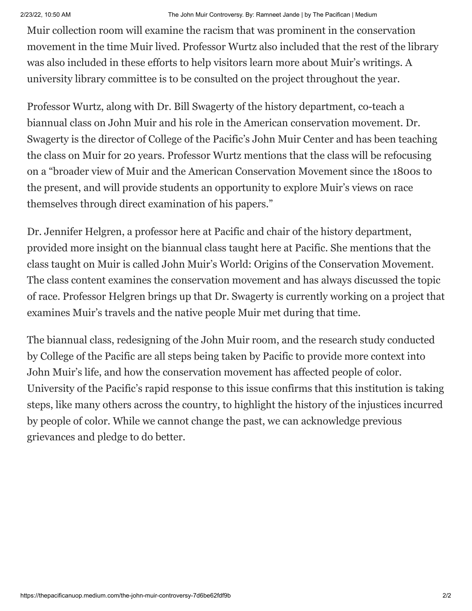Muir collection room will examine the racism that was prominent in the conservation movement in the time Muir lived. Professor Wurtz also included that the rest of the library was also included in these efforts to help visitors learn more about Muir's writings. A university library committee is to be consulted on the project throughout the year.

Professor Wurtz, along with Dr. Bill Swagerty of the history department, co-teach a biannual class on John Muir and his role in the American conservation movement. Dr. Swagerty is the director of College of the Pacific's John Muir Center and has been teaching the class on Muir for 20 years. Professor Wurtz mentions that the class will be refocusing on a "broader view of Muir and the American Conservation Movement since the 1800s to the present, and will provide students an opportunity to explore Muir's views on race themselves through direct examination of his papers."

Dr. Jennifer Helgren, a professor here at Pacific and chair of the history department, provided more insight on the biannual class taught here at Pacific. She mentions that the class taught on Muir is called John Muir's World: Origins of the Conservation Movement. The class content examines the conservation movement and has always discussed the topic of race. Professor Helgren brings up that Dr. Swagerty is currently working on a project that examines Muir's travels and the native people Muir met during that time.

The biannual class, redesigning of the John Muir room, and the research study conducted by College of the Pacific are all steps being taken by Pacific to provide more context into John Muir's life, and how the conservation movement has affected people of color. University of the Pacific's rapid response to this issue confirms that this institution is taking steps, like many others across the country, to highlight the history of the injustices incurred by people of color. While we cannot change the past, we can acknowledge previous grievances and pledge to do better.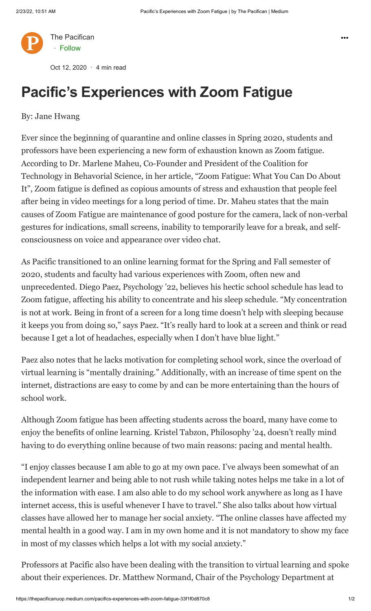

Oct 12, 2020 · 4 min read

# **Pacific's Experiences with Zoom Fatigue**

### By: Jane Hwang

Ever since the beginning of quarantine and online classes in Spring 2020, students and professors have been experiencing a new form of exhaustion known as Zoom fatigue. According to Dr. Marlene Maheu, Co-Founder and President of the Coalition for Technology in Behavorial Science, in her article, "Zoom Fatigue: What You Can Do About It", Zoom fatigue is defined as copious amounts of stress and exhaustion that people feel after being in video meetings for a long period of time. Dr. Maheu states that the main causes of Zoom Fatigue are maintenance of good posture for the camera, lack of non-verbal gestures for indications, small screens, inability to temporarily leave for a break, and selfconsciousness on voice and appearance over video chat.

As Pacific transitioned to an online learning format for the Spring and Fall semester of 2020, students and faculty had various experiences with Zoom, often new and unprecedented. Diego Paez, Psychology '22, believes his hectic school schedule has lead to Zoom fatigue, affecting his ability to concentrate and his sleep schedule. "My concentration is not at work. Being in front of a screen for a long time doesn't help with sleeping because it keeps you from doing so," says Paez. "It's really hard to look at a screen and think or read because I get a lot of headaches, especially when I don't have blue light."

Paez also notes that he lacks motivation for completing school work, since the overload of virtual learning is "mentally draining." Additionally, with an increase of time spent on the internet, distractions are easy to come by and can be more entertaining than the hours of school work.

Although Zoom fatigue has been affecting students across the board, many have come to enjoy the benefits of online learning. Kristel Tabzon, Philosophy '24, doesn't really mind having to do everything online because of two main reasons: pacing and mental health.

"I enjoy classes because I am able to go at my own pace. I've always been somewhat of an independent learner and being able to not rush while taking notes helps me take in a lot of the information with ease. I am also able to do my school work anywhere as long as I have internet access, this is useful whenever I have to travel." She also talks about how virtual classes have allowed her to manage her social anxiety. "The online classes have affected my mental health in a good way. I am in my own home and it is not mandatory to show my face in most of my classes which helps a lot with my social anxiety."

Professors at Pacific also have been dealing with the transition to virtual learning and spoke about their experiences. Dr. Matthew Normand, Chair of the Psychology Department at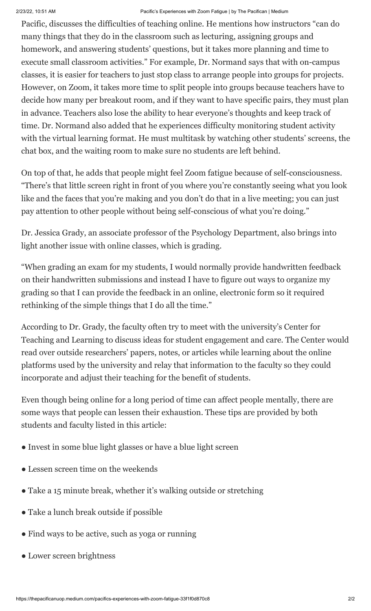#### 2/23/22, 10:51 AM Pacific's Experiences with Zoom Fatigue | by The Pacifican | Medium

Pacific, discusses the difficulties of teaching online. He mentions how instructors "can do many things that they do in the classroom such as lecturing, assigning groups and homework, and answering students' questions, but it takes more planning and time to execute small classroom activities." For example, Dr. Normand says that with on-campus classes, it is easier for teachers to just stop class to arrange people into groups for projects. However, on Zoom, it takes more time to split people into groups because teachers have to decide how many per breakout room, and if they want to have specific pairs, they must plan in advance. Teachers also lose the ability to hear everyone's thoughts and keep track of time. Dr. Normand also added that he experiences difficulty monitoring student activity with the virtual learning format. He must multitask by watching other students' screens, the chat box, and the waiting room to make sure no students are left behind.

On top of that, he adds that people might feel Zoom fatigue because of self-consciousness. "There's that little screen right in front of you where you're constantly seeing what you look like and the faces that you're making and you don't do that in a live meeting; you can just pay attention to other people without being self-conscious of what you're doing."

Dr. Jessica Grady, an associate professor of the Psychology Department, also brings into light another issue with online classes, which is grading.

"When grading an exam for my students, I would normally provide handwritten feedback on their handwritten submissions and instead I have to figure out ways to organize my grading so that I can provide the feedback in an online, electronic form so it required rethinking of the simple things that I do all the time."

According to Dr. Grady, the faculty often try to meet with the university's Center for Teaching and Learning to discuss ideas for student engagement and care. The Center would read over outside researchers' papers, notes, or articles while learning about the online platforms used by the university and relay that information to the faculty so they could incorporate and adjust their teaching for the benefit of students.

Even though being online for a long period of time can affect people mentally, there are some ways that people can lessen their exhaustion. These tips are provided by both students and faculty listed in this article:

- Invest in some blue light glasses or have a blue light screen
- Lessen screen time on the weekends
- Take a 15 minute break, whether it's walking outside or stretching
- Take a lunch break outside if possible
- Find ways to be active, such as yoga or running
- Lower screen brightness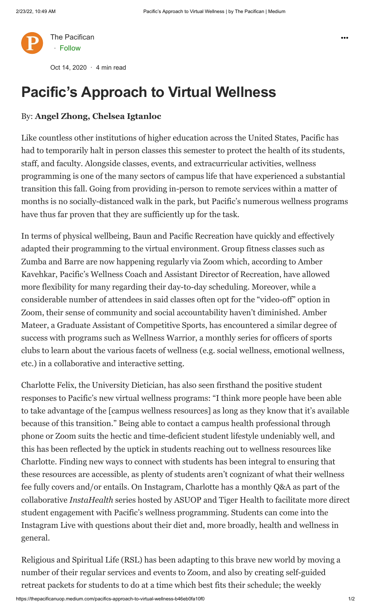

Oct 14, 2020 · 4 min read

## **Pacific's Approach to Virtual Wellness**

### By: **Angel Zhong, Chelsea Igtanloc**

Like countless other institutions of higher education across the United States, Pacific has had to temporarily halt in person classes this semester to protect the health of its students, staff, and faculty. Alongside classes, events, and extracurricular activities, wellness programming is one of the many sectors of campus life that have experienced a substantial transition this fall. Going from providing in-person to remote services within a matter of months is no socially-distanced walk in the park, but Pacific's numerous wellness programs have thus far proven that they are sufficiently up for the task.

In terms of physical wellbeing, Baun and Pacific Recreation have quickly and effectively adapted their programming to the virtual environment. Group fitness classes such as Zumba and Barre are now happening regularly via Zoom which, according to Amber Kavehkar, Pacific's Wellness Coach and Assistant Director of Recreation, have allowed more flexibility for many regarding their day-to-day scheduling. Moreover, while a considerable number of attendees in said classes often opt for the "video-off" option in Zoom, their sense of community and social accountability haven't diminished. Amber Mateer, a Graduate Assistant of Competitive Sports, has encountered a similar degree of success with programs such as Wellness Warrior, a monthly series for officers of sports clubs to learn about the various facets of wellness (e.g. social wellness, emotional wellness, etc.) in a collaborative and interactive setting.

Charlotte Felix, the University Dietician, has also seen firsthand the positive student responses to Pacific's new virtual wellness programs: "I think more people have been able to take advantage of the [campus wellness resources] as long as they know that it's available because of this transition." Being able to contact a campus health professional through phone or Zoom suits the hectic and time-deficient student lifestyle undeniably well, and this has been reflected by the uptick in students reaching out to wellness resources like Charlotte. Finding new ways to connect with students has been integral to ensuring that these resources are accessible, as plenty of students aren't cognizant of what their wellness fee fully covers and/or entails. On Instagram, Charlotte has a monthly Q&A as part of the collaborative *InstaHealth* series hosted by ASUOP and Tiger Health to facilitate more direct student engagement with Pacific's wellness programming. Students can come into the Instagram Live with questions about their diet and, more broadly, health and wellness in general.

Religious and Spiritual Life (RSL) has been adapting to this brave new world by moving a number of their regular services and events to Zoom, and also by creating self-guided retreat packets for students to do at a time which best fits their schedule; the weekly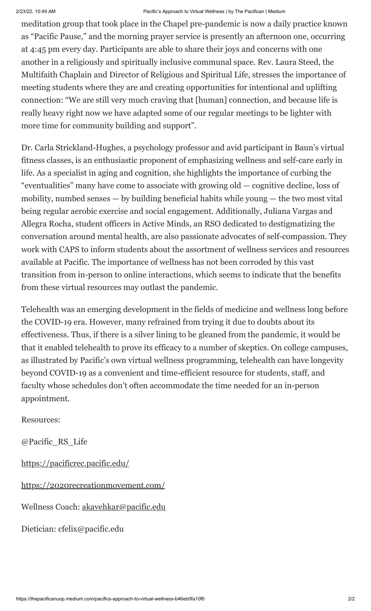#### 2/23/22, 10:49 AM Pacific's Approach to Virtual Wellness | by The Pacifican | Medium

meditation group that took place in the Chapel pre-pandemic is now a daily practice known as "Pacific Pause," and the morning prayer service is presently an afternoon one, occurring at 4:45 pm every day. Participants are able to share their joys and concerns with one another in a religiously and spiritually inclusive communal space. Rev. Laura Steed, the Multifaith Chaplain and Director of Religious and Spiritual Life, stresses the importance of meeting students where they are and creating opportunities for intentional and uplifting connection: "We are still very much craving that [human] connection, and because life is really heavy right now we have adapted some of our regular meetings to be lighter with more time for community building and support".

Dr. Carla Strickland-Hughes, a psychology professor and avid participant in Baun's virtual fitness classes, is an enthusiastic proponent of emphasizing wellness and self-care early in life. As a specialist in aging and cognition, she highlights the importance of curbing the "eventualities" many have come to associate with growing old — cognitive decline, loss of mobility, numbed senses — by building beneficial habits while young — the two most vital being regular aerobic exercise and social engagement. Additionally, Juliana Vargas and Allegra Rocha, student officers in Active Minds, an RSO dedicated to destigmatizing the conversation around mental health, are also passionate advocates of self-compassion. They work with CAPS to inform students about the assortment of wellness services and resources available at Pacific. The importance of wellness has not been corroded by this vast transition from in-person to online interactions, which seems to indicate that the benefits from these virtual resources may outlast the pandemic.

Telehealth was an emerging development in the fields of medicine and wellness long before the COVID-19 era. However, many refrained from trying it due to doubts about its effectiveness. Thus, if there is a silver lining to be gleaned from the pandemic, it would be that it enabled telehealth to prove its efficacy to a number of skeptics. On college campuses, as illustrated by Pacific's own virtual wellness programming, telehealth can have longevity beyond COVID-19 as a convenient and time-efficient resource for students, staff, and faculty whose schedules don't often accommodate the time needed for an in-person appointment.

Resources:

@Pacific\_RS\_Life

<https://pacificrec.pacific.edu/>

<https://2020recreationmovement.com/>

Wellness Coach: [akavehkar@pacific.edu](mailto:akavehkar@pacific.edu)

Dietician: cfelix@pacific.edu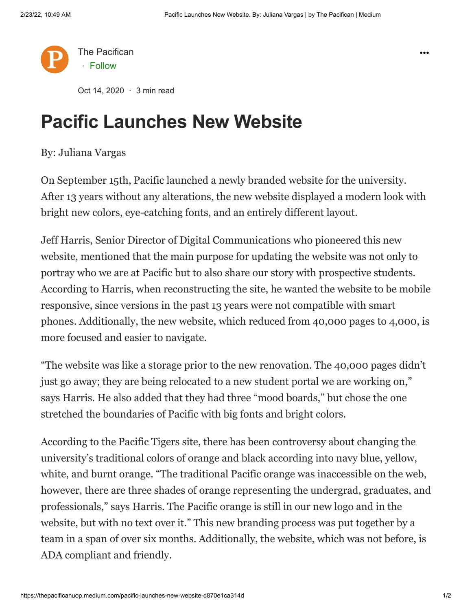

Oct 14, 2020  $\cdot$  3 min read

### **Pacific Launches New Website**

#### By: Juliana Vargas

On September 15th, Pacific launched a newly branded website for the university. After 13 years without any alterations, the new website displayed a modern look with bright new colors, eye-catching fonts, and an entirely different layout.

Jeff Harris, Senior Director of Digital Communications who pioneered this new website, mentioned that the main purpose for updating the website was not only to portray who we are at Pacific but to also share our story with prospective students. According to Harris, when reconstructing the site, he wanted the website to be mobile responsive, since versions in the past 13 years were not compatible with smart phones. Additionally, the new website, which reduced from 40,000 pages to 4,000, is more focused and easier to navigate.

"The website was like a storage prior to the new renovation. The 40,000 pages didn't just go away; they are being relocated to a new student portal we are working on," says Harris. He also added that they had three "mood boards," but chose the one stretched the boundaries of Pacific with big fonts and bright colors.

According to the Pacific Tigers site, there has been controversy about changing the university's traditional colors of orange and black according into navy blue, yellow, white, and burnt orange. "The traditional Pacific orange was inaccessible on the web, however, there are three shades of orange representing the undergrad, graduates, and professionals," says Harris. The Pacific orange is still in our new logo and in the website, but with no text over it." This new branding process was put together by a team in a span of over six months. Additionally, the website, which was not before, is ADA compliant and friendly.

 $...$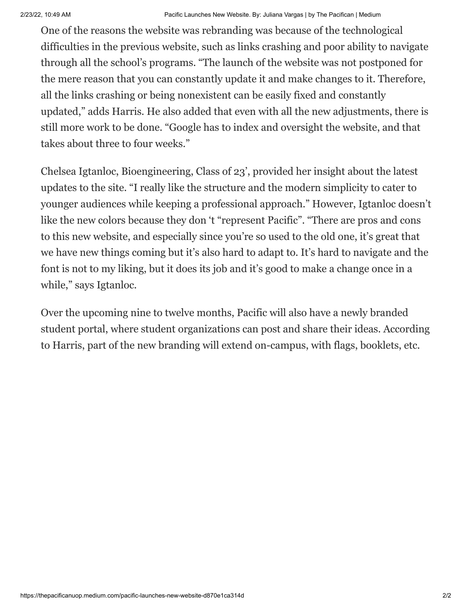One of the reasons the website was rebranding was because of the technological difficulties in the previous website, such as links crashing and poor ability to navigate through all the school's programs. "The launch of the website was not postponed for the mere reason that you can constantly update it and make changes to it. Therefore, all the links crashing or being nonexistent can be easily fixed and constantly updated," adds Harris. He also added that even with all the new adjustments, there is still more work to be done. "Google has to index and oversight the website, and that takes about three to four weeks."

Chelsea Igtanloc, Bioengineering, Class of 23', provided her insight about the latest updates to the site. "I really like the structure and the modern simplicity to cater to younger audiences while keeping a professional approach." However, Igtanloc doesn't like the new colors because they don 't "represent Pacific". "There are pros and cons to this new website, and especially since you're so used to the old one, it's great that we have new things coming but it's also hard to adapt to. It's hard to navigate and the font is not to my liking, but it does its job and it's good to make a change once in a while," says Igtanloc.

Over the upcoming nine to twelve months, Pacific will also have a newly branded student portal, where student organizations can post and share their ideas. According to Harris, part of the new branding will extend on-campus, with flags, booklets, etc.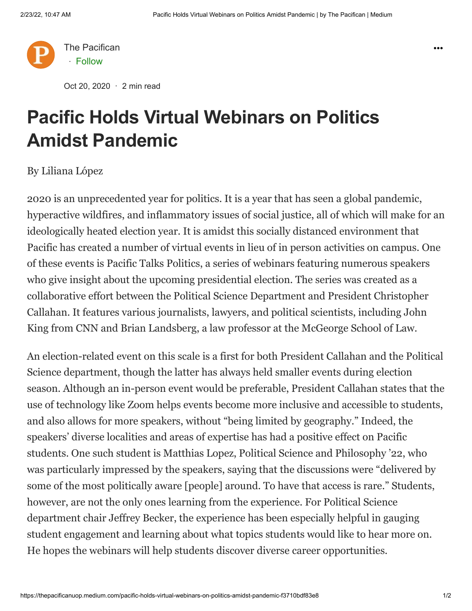

Oct 20, 2020 · 2 min read

# **Pacific Holds Virtual Webinars on Politics Amidst Pandemic**

By Liliana López

2020 is an unprecedented year for politics. It is a year that has seen a global pandemic, hyperactive wildfires, and inflammatory issues of social justice, all of which will make for an ideologically heated election year. It is amidst this socially distanced environment that Pacific has created a number of virtual events in lieu of in person activities on campus. One of these events is Pacific Talks Politics, a series of webinars featuring numerous speakers who give insight about the upcoming presidential election. The series was created as a collaborative effort between the Political Science Department and President Christopher Callahan. It features various journalists, lawyers, and political scientists, including John King from CNN and Brian Landsberg, a law professor at the McGeorge School of Law.

An election-related event on this scale is a first for both President Callahan and the Political Science department, though the latter has always held smaller events during election season. Although an in-person event would be preferable, President Callahan states that the use of technology like Zoom helps events become more inclusive and accessible to students, and also allows for more speakers, without "being limited by geography." Indeed, the speakers' diverse localities and areas of expertise has had a positive effect on Pacific students. One such student is Matthias Lopez, Political Science and Philosophy '22, who was particularly impressed by the speakers, saying that the discussions were "delivered by some of the most politically aware [people] around. To have that access is rare." Students, however, are not the only ones learning from the experience. For Political Science department chair Jeffrey Becker, the experience has been especially helpful in gauging student engagement and learning about what topics students would like to hear more on. He hopes the webinars will help students discover diverse career opportunities.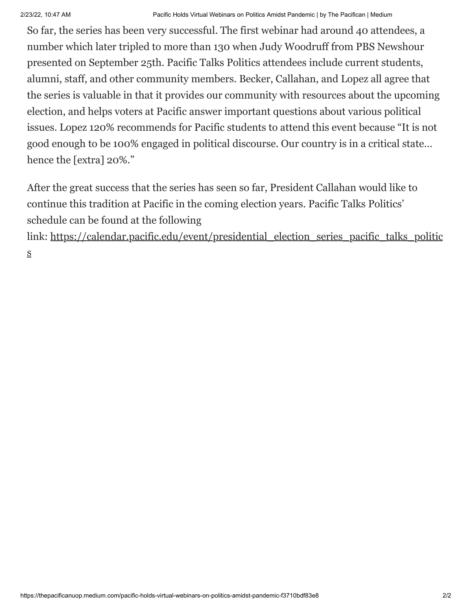So far, the series has been very successful. The first webinar had around 40 attendees, a number which later tripled to more than 130 when Judy Woodruff from PBS Newshour presented on September 25th. Pacific Talks Politics attendees include current students, alumni, staff, and other community members. Becker, Callahan, and Lopez all agree that the series is valuable in that it provides our community with resources about the upcoming election, and helps voters at Pacific answer important questions about various political issues. Lopez 120% recommends for Pacific students to attend this event because "It is not good enough to be 100% engaged in political discourse. Our country is in a critical state… hence the [extra] 20%."

After the great success that the series has seen so far, President Callahan would like to continue this tradition at Pacific in the coming election years. Pacific Talks Politics' schedule can be found at the following

link: [https://calendar.pacific.edu/event/presidential\\_election\\_series\\_pacific\\_talks\\_politic](https://calendar.pacific.edu/event/presidential_election_series_pacific_talks_politics) s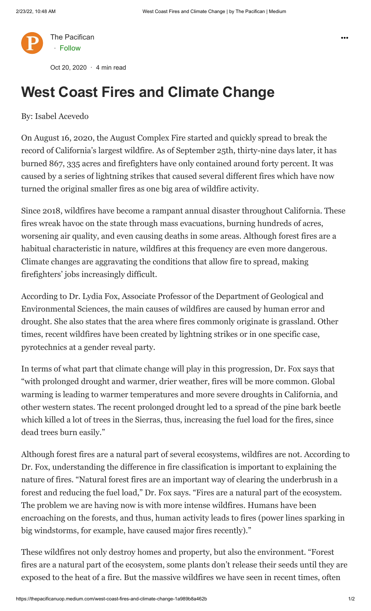

Oct 20, 2020 · 4 min read

## **West Coast Fires and Climate Change**

### By: Isabel Acevedo

On August 16, 2020, the August Complex Fire started and quickly spread to break the record of California's largest wildfire. As of September 25th, thirty-nine days later, it has burned 867, 335 acres and firefighters have only contained around forty percent. It was caused by a series of lightning strikes that caused several different fires which have now turned the original smaller fires as one big area of wildfire activity.

Since 2018, wildfires have become a rampant annual disaster throughout California. These fires wreak havoc on the state through mass evacuations, burning hundreds of acres, worsening air quality, and even causing deaths in some areas. Although forest fires are a habitual characteristic in nature, wildfires at this frequency are even more dangerous. Climate changes are aggravating the conditions that allow fire to spread, making firefighters' jobs increasingly difficult.

According to Dr. Lydia Fox, Associate Professor of the Department of Geological and Environmental Sciences, the main causes of wildfires are caused by human error and drought. She also states that the area where fires commonly originate is grassland. Other times, recent wildfires have been created by lightning strikes or in one specific case, pyrotechnics at a gender reveal party.

In terms of what part that climate change will play in this progression, Dr. Fox says that "with prolonged drought and warmer, drier weather, fires will be more common. Global warming is leading to warmer temperatures and more severe droughts in California, and other western states. The recent prolonged drought led to a spread of the pine bark beetle which killed a lot of trees in the Sierras, thus, increasing the fuel load for the fires, since dead trees burn easily."

Although forest fires are a natural part of several ecosystems, wildfires are not. According to Dr. Fox, understanding the difference in fire classification is important to explaining the nature of fires. "Natural forest fires are an important way of clearing the underbrush in a forest and reducing the fuel load," Dr. Fox says. "Fires are a natural part of the ecosystem. The problem we are having now is with more intense wildfires. Humans have been encroaching on the forests, and thus, human activity leads to fires (power lines sparking in big windstorms, for example, have caused major fires recently)."

These wildfires not only destroy homes and property, but also the environment. "Forest fires are a natural part of the ecosystem, some plants don't release their seeds until they are exposed to the heat of a fire. But the massive wildfires we have seen in recent times, often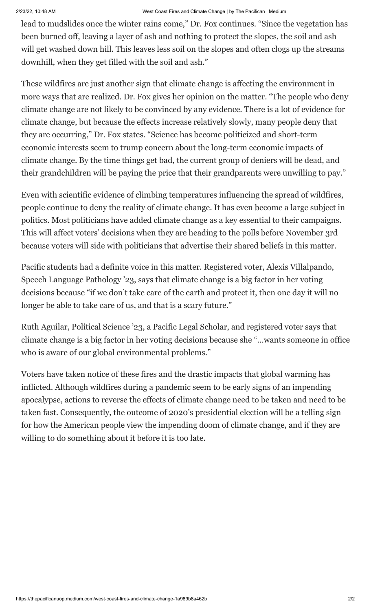#### 2/23/22, 10:48 AM West Coast Fires and Climate Change | by The Pacifican | Medium

lead to mudslides once the winter rains come," Dr. Fox continues. "Since the vegetation has been burned off, leaving a layer of ash and nothing to protect the slopes, the soil and ash will get washed down hill. This leaves less soil on the slopes and often clogs up the streams downhill, when they get filled with the soil and ash."

These wildfires are just another sign that climate change is affecting the environment in more ways that are realized. Dr. Fox gives her opinion on the matter. "The people who deny climate change are not likely to be convinced by any evidence. There is a lot of evidence for climate change, but because the effects increase relatively slowly, many people deny that they are occurring," Dr. Fox states. "Science has become politicized and short-term economic interests seem to trump concern about the long-term economic impacts of climate change. By the time things get bad, the current group of deniers will be dead, and their grandchildren will be paying the price that their grandparents were unwilling to pay."

Even with scientific evidence of climbing temperatures influencing the spread of wildfires, people continue to deny the reality of climate change. It has even become a large subject in politics. Most politicians have added climate change as a key essential to their campaigns. This will affect voters' decisions when they are heading to the polls before November 3rd because voters will side with politicians that advertise their shared beliefs in this matter.

Pacific students had a definite voice in this matter. Registered voter, Alexis Villalpando, Speech Language Pathology '23, says that climate change is a big factor in her voting decisions because "if we don't take care of the earth and protect it, then one day it will no longer be able to take care of us, and that is a scary future."

Ruth Aguilar, Political Science '23, a Pacific Legal Scholar, and registered voter says that climate change is a big factor in her voting decisions because she "…wants someone in office who is aware of our global environmental problems."

Voters have taken notice of these fires and the drastic impacts that global warming has inflicted. Although wildfires during a pandemic seem to be early signs of an impending apocalypse, actions to reverse the effects of climate change need to be taken and need to be taken fast. Consequently, the outcome of 2020's presidential election will be a telling sign for how the American people view the impending doom of climate change, and if they are willing to do something about it before it is too late.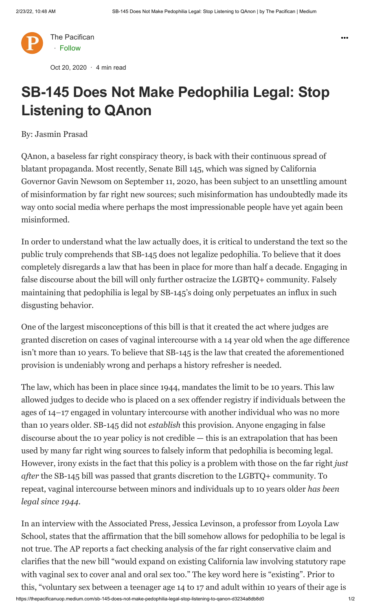

Oct 20, 2020 · 4 min read

# **SB-145 Does Not Make Pedophilia Legal: Stop Listening to QAnon**

By: Jasmin Prasad

QAnon, a baseless far right conspiracy theory, is back with their continuous spread of blatant propaganda. Most recently, Senate Bill 145, which was signed by California Governor Gavin Newsom on September 11, 2020, has been subject to an unsettling amount of misinformation by far right new sources; such misinformation has undoubtedly made its way onto social media where perhaps the most impressionable people have yet again been misinformed.

In order to understand what the law actually does, it is critical to understand the text so the public truly comprehends that SB-145 does not legalize pedophilia. To believe that it does completely disregards a law that has been in place for more than half a decade. Engaging in false discourse about the bill will only further ostracize the LGBTQ+ community. Falsely maintaining that pedophilia is legal by SB-145's doing only perpetuates an influx in such disgusting behavior.

One of the largest misconceptions of this bill is that it created the act where judges are granted discretion on cases of vaginal intercourse with a 14 year old when the age difference isn't more than 10 years. To believe that SB-145 is the law that created the aforementioned provision is undeniably wrong and perhaps a history refresher is needed.

The law, which has been in place since 1944, mandates the limit to be 10 years. This law allowed judges to decide who is placed on a sex offender registry if individuals between the ages of 14–17 engaged in voluntary intercourse with another individual who was no more than 10 years older. SB-145 did not *establish* this provision. Anyone engaging in false discourse about the 10 year policy is not credible — this is an extrapolation that has been used by many far right wing sources to falsely inform that pedophilia is becoming legal. However, irony exists in the fact that this policy is a problem with those on the far right *just after* the SB-145 bill was passed that grants discretion to the LGBTQ+ community. To repeat, vaginal intercourse between minors and individuals up to 10 years older *has been legal since 1944*.

In an interview with the Associated Press, Jessica Levinson, a professor from Loyola Law School, states that the affirmation that the bill somehow allows for pedophilia to be legal is not true. The AP reports a fact checking analysis of the far right conservative claim and clarifies that the new bill "would expand on existing California law involving statutory rape with vaginal sex to cover anal and oral sex too." The key word here is "existing". Prior to this, "voluntary sex between a teenager age 14 to 17 and adult within 10 years of their age is

https://thepacificanuop.medium.com/sb-145-does-not-make-pedophilia-legal-stop-listening-to-qanon-d3234a8db8d0 1/2

 $\ddot{\bullet}$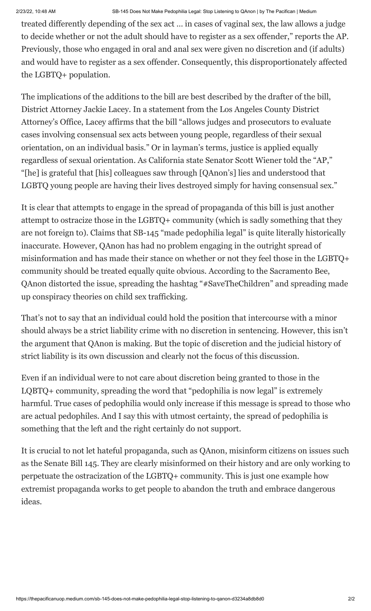treated differently depending of the sex act … in cases of vaginal sex, the law allows a judge to decide whether or not the adult should have to register as a sex offender," reports the AP. Previously, those who engaged in oral and anal sex were given no discretion and (if adults) and would have to register as a sex offender. Consequently, this disproportionately affected the LGBTQ+ population.

The implications of the additions to the bill are best described by the drafter of the bill, District Attorney Jackie Lacey. In a statement from the Los Angeles County District Attorney's Office, Lacey affirms that the bill "allows judges and prosecutors to evaluate cases involving consensual sex acts between young people, regardless of their sexual orientation, on an individual basis." Or in layman's terms, justice is applied equally regardless of sexual orientation. As California state Senator Scott Wiener told the "AP," "[he] is grateful that [his] colleagues saw through [QAnon's] lies and understood that LGBTQ young people are having their lives destroyed simply for having consensual sex."

It is clear that attempts to engage in the spread of propaganda of this bill is just another attempt to ostracize those in the LGBTQ+ community (which is sadly something that they are not foreign to). Claims that SB-145 "made pedophilia legal" is quite literally historically inaccurate. However, QAnon has had no problem engaging in the outright spread of misinformation and has made their stance on whether or not they feel those in the LGBTQ+ community should be treated equally quite obvious. According to the Sacramento Bee, QAnon distorted the issue, spreading the hashtag "#SaveTheChildren" and spreading made up conspiracy theories on child sex trafficking.

That's not to say that an individual could hold the position that intercourse with a minor should always be a strict liability crime with no discretion in sentencing. However, this isn't the argument that QAnon is making. But the topic of discretion and the judicial history of strict liability is its own discussion and clearly not the focus of this discussion.

Even if an individual were to not care about discretion being granted to those in the LQBTQ+ community, spreading the word that "pedophilia is now legal" is extremely harmful. True cases of pedophilia would only increase if this message is spread to those who are actual pedophiles. And I say this with utmost certainty, the spread of pedophilia is something that the left and the right certainly do not support.

It is crucial to not let hateful propaganda, such as QAnon, misinform citizens on issues such as the Senate Bill 145. They are clearly misinformed on their history and are only working to perpetuate the ostracization of the LGBTQ+ community. This is just one example how extremist propaganda works to get people to abandon the truth and embrace dangerous ideas.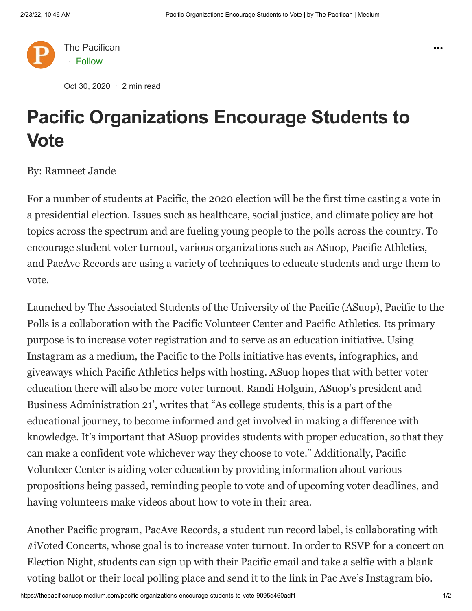

Oct 30, 2020 · 2 min read

## **Pacific Organizations Encourage Students to Vote**

By: Ramneet Jande

For a number of students at Pacific, the 2020 election will be the first time casting a vote in a presidential election. Issues such as healthcare, social justice, and climate policy are hot topics across the spectrum and are fueling young people to the polls across the country. To encourage student voter turnout, various organizations such as ASuop, Pacific Athletics, and PacAve Records are using a variety of techniques to educate students and urge them to vote.

Launched by The Associated Students of the University of the Pacific (ASuop), Pacific to the Polls is a collaboration with the Pacific Volunteer Center and Pacific Athletics. Its primary purpose is to increase voter registration and to serve as an education initiative. Using Instagram as a medium, the Pacific to the Polls initiative has events, infographics, and giveaways which Pacific Athletics helps with hosting. ASuop hopes that with better voter education there will also be more voter turnout. Randi Holguin, ASuop's president and Business Administration 21', writes that "As college students, this is a part of the educational journey, to become informed and get involved in making a difference with knowledge. It's important that ASuop provides students with proper education, so that they can make a confident vote whichever way they choose to vote." Additionally, Pacific Volunteer Center is aiding voter education by providing information about various propositions being passed, reminding people to vote and of upcoming voter deadlines, and having volunteers make videos about how to vote in their area.

Another Pacific program, PacAve Records, a student run record label, is collaborating with #iVoted Concerts, whose goal is to increase voter turnout. In order to RSVP for a concert on Election Night, students can sign up with their Pacific email and take a selfie with a blank voting ballot or their local polling place and send it to the link in Pac Ave's Instagram bio.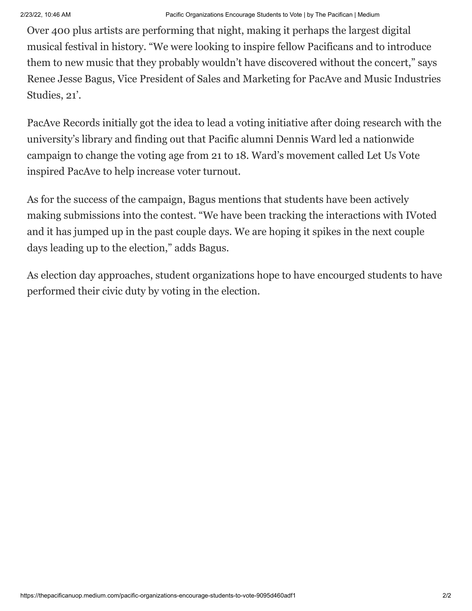Over 400 plus artists are performing that night, making it perhaps the largest digital musical festival in history. "We were looking to inspire fellow Pacificans and to introduce them to new music that they probably wouldn't have discovered without the concert," says Renee Jesse Bagus, Vice President of Sales and Marketing for PacAve and Music Industries Studies, 21'.

PacAve Records initially got the idea to lead a voting initiative after doing research with the university's library and finding out that Pacific alumni Dennis Ward led a nationwide campaign to change the voting age from 21 to 18. Ward's movement called Let Us Vote inspired PacAve to help increase voter turnout.

As for the success of the campaign, Bagus mentions that students have been actively making submissions into the contest. "We have been tracking the interactions with IVoted and it has jumped up in the past couple days. We are hoping it spikes in the next couple days leading up to the election," adds Bagus.

As election day approaches, student organizations hope to have encourged students to have performed their civic duty by voting in the election.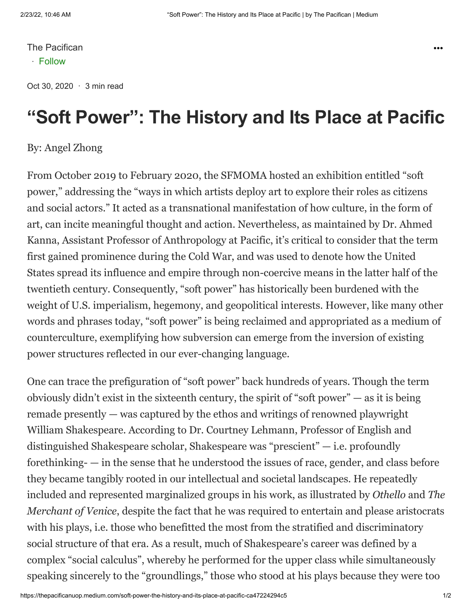Oct 30, 2020 · 3 min read

### **"Soft Power": The History and Its Place at Pacific**

#### By: Angel Zhong

From October 2019 to February 2020, the SFMOMA hosted an exhibition entitled "soft power," addressing the "ways in which artists deploy art to explore their roles as citizens and social actors." It acted as a transnational manifestation of how culture, in the form of art, can incite meaningful thought and action. Nevertheless, as maintained by Dr. Ahmed Kanna, Assistant Professor of Anthropology at Pacific, it's critical to consider that the term first gained prominence during the Cold War, and was used to denote how the United States spread its influence and empire through non-coercive means in the latter half of the twentieth century. Consequently, "soft power" has historically been burdened with the weight of U.S. imperialism, hegemony, and geopolitical interests. However, like many other words and phrases today, "soft power" is being reclaimed and appropriated as a medium of counterculture, exemplifying how subversion can emerge from the inversion of existing power structures reflected in our ever-changing language.

One can trace the prefiguration of "soft power" back hundreds of years. Though the term obviously didn't exist in the sixteenth century, the spirit of "soft power" — as it is being remade presently — was captured by the ethos and writings of renowned playwright William Shakespeare. According to Dr. Courtney Lehmann, Professor of English and distinguished Shakespeare scholar, Shakespeare was "prescient" — i.e. profoundly forethinking- — in the sense that he understood the issues of race, gender, and class before they became tangibly rooted in our intellectual and societal landscapes. He repeatedly included and represented marginalized groups in his work, as illustrated by *Othello* and *The Merchant of Venice*, despite the fact that he was required to entertain and please aristocrats with his plays, i.e. those who benefitted the most from the stratified and discriminatory social structure of that era. As a result, much of Shakespeare's career was defined by a complex "social calculus", whereby he performed for the upper class while simultaneously speaking sincerely to the "groundlings," those who stood at his plays because they were too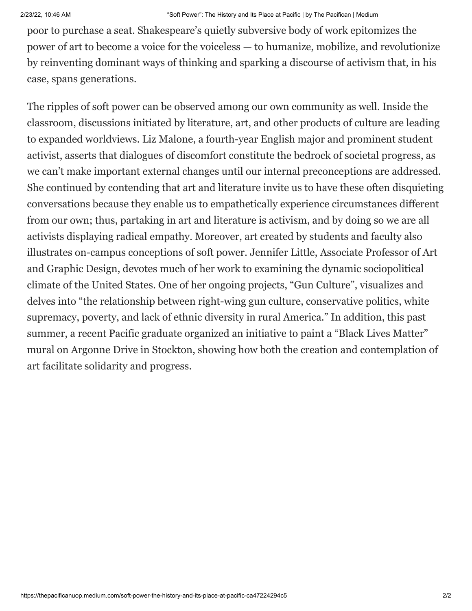poor to purchase a seat. Shakespeare's quietly subversive body of work epitomizes the power of art to become a voice for the voiceless — to humanize, mobilize, and revolutionize by reinventing dominant ways of thinking and sparking a discourse of activism that, in his case, spans generations.

The ripples of soft power can be observed among our own community as well. Inside the classroom, discussions initiated by literature, art, and other products of culture are leading to expanded worldviews. Liz Malone, a fourth-year English major and prominent student activist, asserts that dialogues of discomfort constitute the bedrock of societal progress, as we can't make important external changes until our internal preconceptions are addressed. She continued by contending that art and literature invite us to have these often disquieting conversations because they enable us to empathetically experience circumstances different from our own; thus, partaking in art and literature is activism, and by doing so we are all activists displaying radical empathy. Moreover, art created by students and faculty also illustrates on-campus conceptions of soft power. Jennifer Little, Associate Professor of Art and Graphic Design, devotes much of her work to examining the dynamic sociopolitical climate of the United States. One of her ongoing projects, "Gun Culture", visualizes and delves into "the relationship between right-wing gun culture, conservative politics, white supremacy, poverty, and lack of ethnic diversity in rural America." In addition, this past summer, a recent Pacific graduate organized an initiative to paint a "Black Lives Matter" mural on Argonne Drive in Stockton, showing how both the creation and contemplation of art facilitate solidarity and progress.